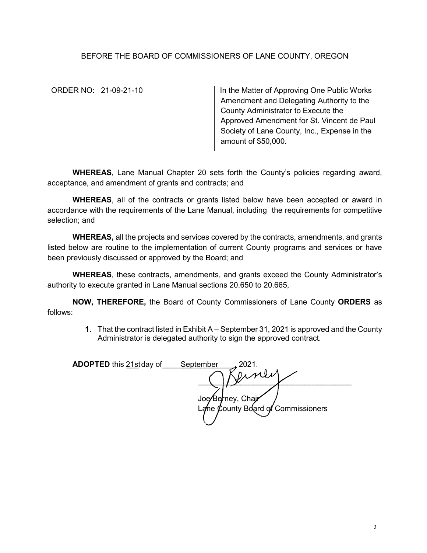## BEFORE THE BOARD OF COMMISSIONERS OF LANE COUNTY, OREGON

ORDER NO: 21-09-21-10 **In the Matter of Approving One Public Works** Amendment and Delegating Authority to the County Administrator to Execute the Approved Amendment for St. Vincent de Paul Society of Lane County, Inc., Expense in the amount of \$50,000.

**WHEREAS**, Lane Manual Chapter 20 sets forth the County's policies regarding award, acceptance, and amendment of grants and contracts; and

**WHEREAS**, all of the contracts or grants listed below have been accepted or award in accordance with the requirements of the Lane Manual, including the requirements for competitive selection; and

**WHEREAS,** all the projects and services covered by the contracts, amendments, and grants listed below are routine to the implementation of current County programs and services or have been previously discussed or approved by the Board; and

**WHEREAS**, these contracts, amendments, and grants exceed the County Administrator's authority to execute granted in Lane Manual sections 20.650 to 20.665,

**NOW, THEREFORE,** the Board of County Commissioners of Lane County **ORDERS** as follows:

> **1.** That the contract listed in Exhibit A – September 31, 2021 is approved and the County Administrator is delegated authority to sign the approved contract.

| <b>ADOPTED</b> this 21stday of | September<br>2021.                                      |  |
|--------------------------------|---------------------------------------------------------|--|
|                                | $n_{1}$ vil $n$                                         |  |
|                                |                                                         |  |
|                                | Joe/Berney, Chair<br>Lane County Board of Commissioners |  |